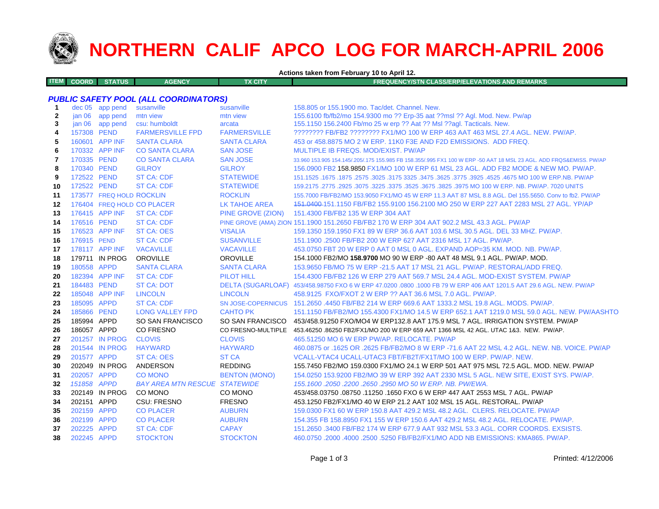

## **NORTHERN CALIF APCO LOG FOR MARCH-APRIL 2006**

**Actions taken from February 10 to April 12.**

|  | <b>ITEM COORD STATUS</b> |  | <b>AGENCY</b> | TX CITY | <b>FREQUENCY/STN CLASS/ERP/ELEVATIONS AND REMARKS</b> |
|--|--------------------------|--|---------------|---------|-------------------------------------------------------|
|--|--------------------------|--|---------------|---------|-------------------------------------------------------|

## *PUBLIC SAFETY POOL (ALL COORDINATORS)*

| -1           | $dec$ 05          | app pend                 | susanville                           | susanville           | 158.805 or 155.1900 mo. Tac/det. Channel. New.                                                                      |
|--------------|-------------------|--------------------------|--------------------------------------|----------------------|---------------------------------------------------------------------------------------------------------------------|
| $\mathbf{2}$ | jan <sub>06</sub> | app pend                 | mtn view                             | mtn view             | 155.6100 fb/fb2/mo 154.9300 mo ?? Erp-35 aat ??msl ?? Agl. Mod. New. Pw/ap                                          |
| 3            | jan 06            | app pend                 | csu: humboldt                        | arcata               | 155.1150 156.2400 Fb/mo 25 w erp ?? Aat ?? Msl ??agl. Tacticals. New.                                               |
| 4            | 157308 PEND       |                          | <b>FARMERSVILLE FPD</b>              | <b>FARMERSVILLE</b>  | ???????? FB/FB2 ???????? FX1/MO 100 W ERP 463 AAT 463 MSL 27.4 AGL, NEW, PW/AP,                                     |
| 5            |                   | 160601 APP INF           | <b>SANTA CLARA</b>                   | <b>SANTA CLARA</b>   | 453 or 458,8875 MO 2 W ERP, 11K0 F3E AND F2D EMISSIONS. ADD FREQ.                                                   |
| 6            |                   | 170332 APP INF           | <b>CO SANTA CLARA</b>                | <b>SAN JOSE</b>      | MULTIPLE IB FREQS, MOD/EXIST, PW/AP                                                                                 |
| 7            | 170335 PEND       |                          | <b>CO SANTA CLARA</b>                | <b>SAN JOSE</b>      | 33.960 153.905 154.145/.205/.175 155.985 FB 158.355/.995 FX1 100 W ERP -50 AAT 18 MSL 23 AGL. ADD FRQS&EMISS. PW/AP |
| 8            | 170340 PEND       |                          | <b>GILROY</b>                        | <b>GILROY</b>        | 156,0900 FB2 158,9850 FX1/MO 100 W ERP 61 MSL 23 AGL. ADD FB2 MODE & NEW MO, PW/AP,                                 |
| 9            | 172522 PEND       |                          | <b>ST CA: CDF</b>                    | <b>STATEWIDE</b>     | 151.1525 .1675 .1675 .3025 .3475 .3625 .3775 .3625 .3625 .3475 .3625 .3775 .3225 .1675 .1675 .1675 .                |
| 10           | 172522 PEND       |                          | <b>ST CA: CDF</b>                    | <b>STATEWIDE</b>     | 159.2175 .2775 .2925 .3075 .3225 .3375 .3625 .3675 .3825 .3975 MO 100 W ERP. NB. PW/AP. 7020 UNITS                  |
| 11           |                   | 173577 FREQ HOLD ROCKLIN |                                      | <b>ROCKLIN</b>       | 155.7000 FB/FB2/MO 153.9050 FX1/MO 45 W ERP 11.3 AAT 87 MSL 8.8 AGL. Del 155.5650. Conv to fb2. PW/AP               |
| 12           |                   |                          | 176404 FREQ HOLD CO PLACER           | <b>LK TAHOE AREA</b> | 151.0400-151.1150 FB/FB2 155.9100 156.2100 MO 250 W ERP 227 AAT 2283 MSL 27 AGL. YP/AP                              |
| 13           |                   | 176415 APP INF           | <b>ST CA: CDF</b>                    | PINE GROVE (ZION)    | 151.4300 FB/FB2 135 W ERP 304 AAT                                                                                   |
| 14           | 176516 PEND       |                          | <b>ST CA: CDF</b>                    |                      | PINE GROVE (AMA) ZION 151.1900 151.2650 FB/FB2 170 W ERP 304 AAT 902.2 MSL 43.3 AGL. PW/AP                          |
| 15           |                   | 176523 APP INF           | <b>ST CA: OES</b>                    | <b>VISALIA</b>       | 159.1350 159.1950 FX1 89 W ERP 36.6 AAT 103.6 MSL 30.5 AGL, DEL 33 MHZ, PW/AP,                                      |
| 16           | 176915 PEND       |                          | <b>ST CA: CDF</b>                    | <b>SUSANVILLE</b>    | 151.1900 .2500 FB/FB2 200 W ERP 627 AAT 2316 MSL 17 AGL, PW/AP.                                                     |
| 17           |                   | 178117 APP INF           | <b>VACAVILLE</b>                     | <b>VACAVILLE</b>     | 453.0750 FBT 20 W ERP 0 AAT 0 MSL 0 AGL, EXPAND AOP=35 KM, MOD, NB, PW/AP,                                          |
| 18           |                   | 179711 IN PROG           | <b>OROVILLE</b>                      | <b>OROVILLE</b>      | 154.1000 FB2/MO 158.9700 MO 90 W ERP -80 AAT 48 MSL 9.1 AGL. PW/AP. MOD.                                            |
| 19           | 180558 APPD       |                          | <b>SANTA CLARA</b>                   | <b>SANTA CLARA</b>   | 153,9650 FB/MO 75 W ERP -21.5 AAT 17 MSL 21 AGL, PW/AP, RESTORAL/ADD FREQ.                                          |
| 20           |                   | 182394 APP INF           | <b>ST CA: CDF</b>                    | <b>PILOT HILL</b>    | 154,4300 FB/FB2 126 W ERP 279 AAT 569.7 MSL 24.4 AGL, MOD-EXIST SYSTEM, PW/AP                                       |
| 21           | 184483 PEND       |                          | <b>ST CA: DOT</b>                    |                      | DELTA (SUGARLOAF) 453/458.98750 FXO 6 W ERP 47.0200 .0800 .1000 FB 79 W ERP 406 AAT 1201.5 AAT 29.6 AGL. NEW. PW/AP |
| 22           |                   | 185048 APP INF           | <b>LINCOLN</b>                       | <b>LINCOLN</b>       | 458.9125 FXO/FXOT 2 W ERP ?? AAT 36.6 MSL 7.0 AGL, PW/AP.                                                           |
| 23           | 185095 APPD       |                          | <b>ST CA: CDF</b>                    |                      | SN JOSE-COPERNICUS 151,2650,4450 FB/FB2 214 W ERP 669.6 AAT 1333.2 MSL 19.8 AGL, MODS, PW/AP.                       |
| 24           | 185866 PEND       |                          | <b>LONG VALLEY FPD</b>               | <b>CAHTO PK</b>      | 151.1150 FB/FB2/MO 155.4300 FX1/MO 14.5 W ERP 652.1 AAT 1219.0 MSL 59.0 AGL. NEW. PW/AASHTO                         |
| 25           | 185994 APPD       |                          | SO SAN FRANCISCO                     |                      | SO SAN FRANCISCO 453/458.91250 FXO/MO4 W ERP132.8 AAT 175.9 MSL 7 AGL. IRRIGATION SYSTEM. PW/AP                     |
| 26           | 186057 APPD       |                          | <b>CO FRESNO</b>                     | CO FRESNO-MULTIPLE   | 453.46250 .86250 FB2/FX1/MO 200 W ERP 659 AAT 1366 MSL 42 AGL. UTAC 1&3. NEW. PW/AP.                                |
| 27           |                   | 201257 IN PROG           | <b>CLOVIS</b>                        | <b>CLOVIS</b>        | 465.51250 MO 6 W ERP PW/AP. RELOCATE. PW/AP                                                                         |
| 28           |                   | 201544 IN PROG           | <b>HAYWARD</b>                       | <b>HAYWARD</b>       | 460,0875 or .1625 OR .2625 FB/FB2/MO 8 W ERP -71.6 AAT 22 MSL 4.2 AGL, NEW, NB, VOICE, PW/AP                        |
| 29           | 201577 APPD       |                          | <b>ST CA: OES</b>                    | <b>ST CA</b>         | VCALL-VTAC4 UCALL-UTAC3 FBT/FB2T/FX1T/MO 100 W ERP. PW/AP. NEW.                                                     |
| 30           |                   | 202049 IN PROG           | ANDERSON                             | <b>REDDING</b>       | 155.7450 FB2/MO 159.0300 FX1/MO 24.1 W ERP 501 AAT 975 MSL 72.5 AGL. MOD. NEW. PW/AP                                |
| 31           | 202057 APPD       |                          | <b>CO MONO</b>                       | <b>BENTON (MONO)</b> | 154.0250 153.9200 FB2/MO 39 W ERP 392 AAT 2330 MSL 5 AGL. NEW SITE, EXIST SYS. PW/AP.                               |
| 32           | 151858 APPD       |                          | <b>BAY AREA MTN RESCUE STATEWIDE</b> |                      | 155,1600,2050,2200,2650,2950 MO 50 W ERP, NB, PW/EWA,                                                               |
| 33           |                   | 202149 IN PROG           | CO MONO                              | CO MONO              | 453/458.03750 .08750 .11250 .1650 FXO 6 W ERP 447 AAT 2553 MSL 7 AGL. PW/AP                                         |
| 34           | 202151 APPD       |                          | CSU: FRESNO                          | <b>FRESNO</b>        | 453.1250 FB2/FX1/MO 40 W ERP 21.2 AAT 102 MSL 15 AGL. RESTORAL. PW/AP                                               |
| 35           | 202159 APPD       |                          | <b>CO PLACER</b>                     | <b>AUBURN</b>        | 159.0300 FX1 60 W ERP 150.8 AAT 429.2 MSL 48.2 AGL. CLERS. RELOCATE. PW/AP                                          |
| 36           | 202199 APPD       |                          | <b>CO PLACER</b>                     | <b>AUBURN</b>        | 154,355 FB 158,8950 FX1 155 W ERP 150.6 AAT 429.2 MSL 48.2 AGL, RELOCATE, PW/AP.                                    |
| 37           | 202225 APPD       |                          | <b>ST CA: CDF</b>                    | <b>CAPAY</b>         | 151.2650 .3400 FB/FB2 174 W ERP 677.9 AAT 932 MSL 53.3 AGL, CORR COORDS, EXSISTS.                                   |
| 38           | 202245 APPD       |                          | <b>STOCKTON</b>                      | <b>STOCKTON</b>      | 460.0750 .2000 .4000 .2500 .5250 FB/FB2/FX1/MO ADD NB EMISSIONS: KMA865, PW/AP.                                     |
|              |                   |                          |                                      |                      |                                                                                                                     |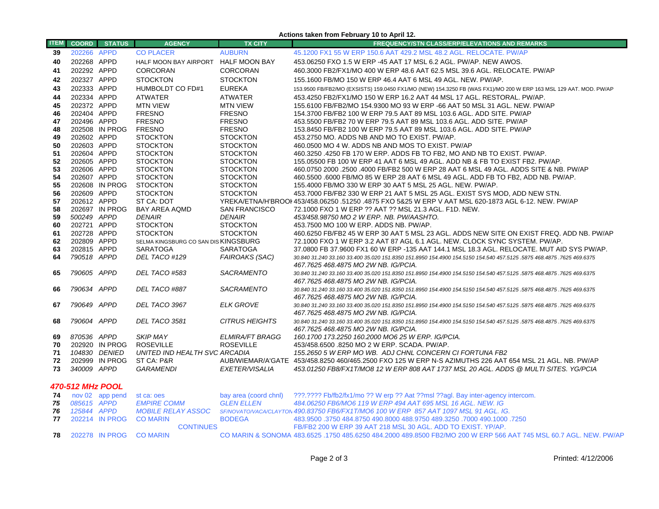| <b>ITEM</b>      | <b>COORD</b>               | <b>STATUS</b>   | <b>AGENCY</b>                        | <b>TX CITY</b>                   | 1.3.1<br><b>FREQUENCY/STN CLASS/ERP/ELEVATIONS AND REMARKS</b>                                                                                                |  |
|------------------|----------------------------|-----------------|--------------------------------------|----------------------------------|---------------------------------------------------------------------------------------------------------------------------------------------------------------|--|
| 39               | 202266 APPD                |                 | <b>CO PLACER</b>                     | <b>AUBURN</b>                    | 45.1200 FX1 55 W ERP 150.6 AAT 429.2 MSL 48.2 AGL. RELOCATE. PW/AP                                                                                            |  |
| 40               | 202268 APPD                |                 | HALF MOON BAY AIRPORT HALF MOON BAY  |                                  | 453.06250 FXO 1.5 W ERP -45 AAT 17 MSL 6.2 AGL. PW/AP. NEW AWOS.                                                                                              |  |
| 41               | 202292 APPD                |                 | CORCORAN                             | <b>CORCORAN</b>                  | 460.3000 FB2/FX1/MO 400 W ERP 48.6 AAT 62.5 MSL 39.6 AGL. RELOCATE. PW/AP                                                                                     |  |
| 42               | 202327 APPD                |                 | <b>STOCKTON</b>                      | <b>STOCKTON</b>                  | 155.1600 FB/MO 150 W ERP 46.4 AAT 6 MSL 49 AGL. NEW. PW/AP.                                                                                                   |  |
|                  | 202333 APPD                |                 |                                      | <b>EUREKA</b>                    |                                                                                                                                                               |  |
| 43               |                            |                 | HUMBOLDT CO FD#1                     |                                  | 153.9500 FB/FB2/MO (EXSISTS) 159.0450 FX1/MO (NEW) 154.3250 FB (WAS FX1)/MO 200 W ERP 163 MSL 129 AAT. MOD. PW/AP                                             |  |
| 44               | 202334 APPD                |                 | <b>ATWATER</b>                       | <b>ATWATER</b>                   | 453.4250 FB2/FX1/MO 150 W ERP 16.2 AAT 44 MSL 17 AGL. RESTORAL. PW/AP.                                                                                        |  |
| 45               | 202372 APPD<br>202404 APPD |                 | <b>MTN VIEW</b><br><b>FRESNO</b>     | <b>MTN VIEW</b><br><b>FRESNO</b> | 155.6100 FB/FB2/MO 154.9300 MO 93 W ERP -66 AAT 50 MSL 31 AGL. NEW. PW/AP<br>154,3700 FB/FB2 100 W ERP 79.5 AAT 89 MSL 103.6 AGL, ADD SITE, PW/AP             |  |
| 46               | 202496 APPD                |                 | <b>FRESNO</b>                        | <b>FRESNO</b>                    | 453,5500 FB/FB2 70 W ERP 79.5 AAT 89 MSL 103.6 AGL, ADD SITE, PW/AP                                                                                           |  |
| 47<br>48         |                            | 202508 IN PROG  | <b>FRESNO</b>                        | <b>FRESNO</b>                    | 153.8450 FB/FB2 100 W ERP 79.5 AAT 89 MSL 103.6 AGL. ADD SITE. PW/AP                                                                                          |  |
| 49               | 202602 APPD                |                 | <b>STOCKTON</b>                      | <b>STOCKTON</b>                  | 453.2750 MO. ADDS NB AND MO TO EXIST. PW/AP.                                                                                                                  |  |
| 50               | 202603 APPD                |                 | <b>STOCKTON</b>                      | <b>STOCKTON</b>                  | 460.0500 MO 4 W. ADDS NB AND MOS TO EXIST. PW/AP                                                                                                              |  |
| 51               | 202604 APPD                |                 | <b>STOCKTON</b>                      | <b>STOCKTON</b>                  | 460.3250 .4250 FB 170 W ERP. ADDS FB TO FB2, MO AND NB TO EXIST. PW/AP.                                                                                       |  |
| 52               | 202605 APPD                |                 | <b>STOCKTON</b>                      | <b>STOCKTON</b>                  | 155,05500 FB 100 W ERP 41 AAT 6 MSL 49 AGL, ADD NB & FB TO EXIST FB2, PW/AP.                                                                                  |  |
| 53               | 202606 APPD                |                 | <b>STOCKTON</b>                      | <b>STOCKTON</b>                  | 460.0750 2000 .2500 .4000 FB/FB2 500 W ERP 28 AAT 6 MSL 49 AGL. ADDS SITE & NB. PW/AP                                                                         |  |
| 54               | 202607 APPD                |                 | <b>STOCKTON</b>                      | <b>STOCKTON</b>                  | 460.5500 .6000 FB/MO 85 W ERP 28 AAT 6 MSL 49 AGL. ADD FB TO FB2, ADD NB. PW/AP.                                                                              |  |
| 55               |                            | 202608 IN PROG  | <b>STOCKTON</b>                      | <b>STOCKTON</b>                  | 155.4000 FB/MO 330 W ERP 30 AAT 5 MSL 25 AGL. NEW. PW/AP.                                                                                                     |  |
| 56               | 202609 APPD                |                 | <b>STOCKTON</b>                      | <b>STOCKTON</b>                  | 453.7000 FB/FB2 330 W ERP 21 AAT 5 MSL 25 AGL. EXIST SYS MOD, ADD NEW STN.                                                                                    |  |
| 57               | 202612 APPD                |                 | ST CA: DOT                           |                                  | YREKA/ETNA/H'BROOI 453/458.06250 .51250 .4875 FXO 5&25 W ERP V AAT MSL 620-1873 AGL 6-12. NEW. PW/AP                                                          |  |
| 58               |                            | 202697 IN PROG  | <b>BAY AREA AQMD</b>                 | <b>SAN FRANCISCO</b>             | 72.1000 FXO 1 W ERP ?? AAT ?? MSL 21.3 AGL. F1D. NEW.                                                                                                         |  |
| 59               | 500249 APPD                |                 | <b>DENAIR</b>                        | <b>DENAIR</b>                    | 453/458.98750 MO 2 W ERP. NB. PW/AASHTO.                                                                                                                      |  |
| 60               | 202721 APPD                |                 | <b>STOCKTON</b>                      | <b>STOCKTON</b>                  | 453.7500 MO 100 W ERP. ADDS NB. PW/AP.                                                                                                                        |  |
| 61               | 202728 APPD                |                 | <b>STOCKTON</b>                      | <b>STOCKTON</b>                  | 460.6250 FB/FB2 45 W ERP 30 AAT 5 MSL 23 AGL. ADDS NEW SITE ON EXIST FREQ. ADD NB. PW/AP                                                                      |  |
| 62               | 202809 APPD                |                 | SELMA KINGSBURG CO SAN DIS KINGSBURG |                                  | 72.1000 FXO 1 W ERP 3.2 AAT 87 AGL 6.1 AGL. NEW. CLOCK SYNC SYSTEM. PW/AP.                                                                                    |  |
| 63               | 202815 APPD                |                 | <b>SARATOGA</b>                      | <b>SARATOGA</b>                  | 37.0800 FB 37.9600 FX1 60 W ERP -135 AAT 144.1 MSL 18.3 AGL. RELOCATE. MUT AID SYS PW/AP.                                                                     |  |
| 64               | 790518 APPD                |                 | DEL TACO #129                        | FAIROAKS (SAC)                   | 30.840 31.240 33.160 33.400 35.020 151.8350 151.8950 154.4900 154.5150 154.540 457.5125 .5875 468.4875 .7625 469.6375                                         |  |
| 65               | 790605 APPD                |                 | DEL TACO #583                        | <b>SACRAMENTO</b>                | 467.7625 468.4875 MO 2W NB. IG/PCIA.<br>30.840 31.240 33.160 33.400 35.020 151.8350 151.8950 154.4900 154.5150 154.540 457.5125 .5875 468.4875 .7625 469.6375 |  |
|                  |                            |                 |                                      |                                  | 467.7625 468.4875 MO 2W NB. IG/PCIA.                                                                                                                          |  |
| 66               | 790634 APPD                |                 | DEL TACO #887                        | SACRAMENTO                       | 30.840 31.240 33.160 33.400 35.020 151.8350 151.8950 154.4900 154.5150 154.540 457.5125 .5875 468.4875 .7625 469.6375                                         |  |
|                  |                            |                 |                                      |                                  | 467.7625 468.4875 MO 2W NB. IG/PCIA.                                                                                                                          |  |
| 67               | 790649 APPD                |                 | DEL TACO 3967                        | <b>ELK GROVE</b>                 | 30.840 31.240 33.160 33.400 35.020 151.8350 151.8950 154.4900 154.5150 154.540 457.5125 .5875 468.4875 .7625 469.6375                                         |  |
|                  |                            |                 |                                      |                                  | 467.7625 468.4875 MO 2W NB. IG/PCIA.                                                                                                                          |  |
| 68               | 790604 APPD                |                 | DEL TACO 3581                        | <b>CITRUS HEIGHTS</b>            | 30.840 31.240 33.160 33.400 35.020 151.8350 151.8950 154.4900 154.5150 154.540 457.5125 .5875 468.4875 .7625 469.6375                                         |  |
|                  |                            |                 |                                      |                                  | 467.7625 468.4875 MO 2W NB. IG/PCIA.                                                                                                                          |  |
| 69               | 870536 APPD                |                 | <b>SKIP MAY</b>                      | <b>ELMIRA/FT BRAGG</b>           | 160.1700 173.2250 160.2000 MO6 25 W ERP. IG/PCIA.                                                                                                             |  |
| 70               |                            | 202920 IN PROG  | <b>ROSEVILLE</b>                     | <b>ROSEVILLE</b>                 | 453/458.6500 .8250 MO 2 W ERP. SCADA. PW/AP.                                                                                                                  |  |
| 71               |                            | 104830 DENIED   | UNITED IND HEALTH SVC ARCADIA        |                                  | 155.2650 5 W ERP MO WB. ADJ CHNL CONCERN CI FORTUNA FB2                                                                                                       |  |
| 72               |                            | 202999 IN PROG  | ST CA: P&R                           |                                  | AUB/WIEMAR/A'GATE 453/458.8250 460/465.2500 FXO 125 W ERP N-S AZIMUTHS 226 AAT 654 MSL 21 AGL. NB. PW/AP                                                      |  |
| 73               | 340009 APPD                |                 | <b>GARAMENDI</b>                     | EXETER/VISALIA                   | 453.01250 FB8/FX1T/MO8 12 W ERP 808 AAT 1737 MSL 20 AGL. ADDS @ MULTI SITES. YG/PCIA                                                                          |  |
| 470-512 MHz POOL |                            |                 |                                      |                                  |                                                                                                                                                               |  |
|                  |                            |                 |                                      |                                  |                                                                                                                                                               |  |
| 74               |                            | nov 02 app pend | st ca: oes                           | bay area (coord chnl)            | ???.???? Fb/fb2/fx1/mo ?? W erp ?? Aat ??msl ??agl. Bay inter-agency intercom.                                                                                |  |
| 75               | 085615 APPD                |                 | <b>EMPIRE COMM</b>                   | <b>GLEN ELLEN</b>                | 484.06250 FB6/MO6 119 W ERP 494 AAT 695 MSL 16 AGL. NEW. IG                                                                                                   |  |
| 76<br>77         | 125844 APPD                | 202214 IN PROG  | <b>MOBILE RELAY ASSOC</b>            |                                  | SF/NOVATO/VACA/CLAYTON 490.83750 FB6/FX1T/MO6 100 W ERP 857 AAT 1097 MSL 91 AGL. IG.                                                                          |  |
|                  |                            |                 | <b>CO MARIN</b><br><b>CONTINUES</b>  | <b>BODEGA</b>                    | 483.9500 .3750 484.8750 490.8000 488.9750 489.3250 .7000 490.1000 .3750<br>FB/FB2 200 W ERP 39 AAT 218 MSL 30 AGL. ADD TO EXIST. YP/AP.                       |  |
| 78               |                            |                 | 202278 IN PROG CO MARIN              |                                  | CO MARIN & SONOMA 483,6525 .1750 485,6250 484,2000 489,8500 FB2/MO 200 W ERP 566 AAT 745 MSL 60.7 AGL, NEW, PW/AP                                             |  |

**Actions taken from February 10 to April 12.**